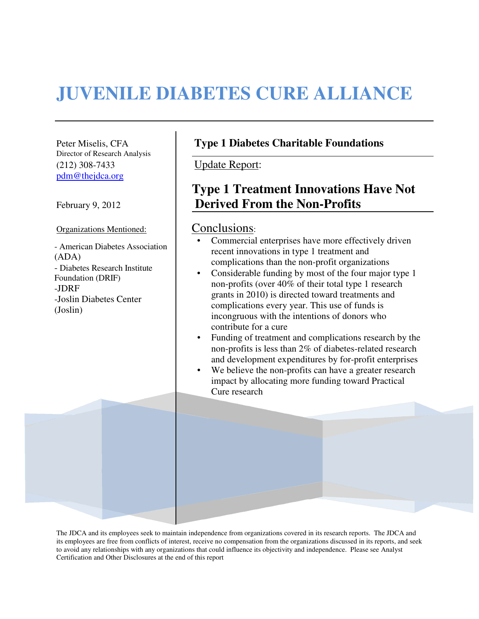# **JUVENILE DIABETES CURE ALLIANCE**

Director of Research Analysis (212) 308-7433 Update Report: pdm@thejdca.org

Organizations Mentioned: Conclusions:

- American Diabetes Association (ADA) - Diabetes Research Institute Foundation (DRIF) -JDRF -Joslin Diabetes Center (Joslin)

### Peter Miselis, CFA **Type 1 Diabetes Charitable Foundations**

## **Type 1 Treatment Innovations Have Not**  February 9, 2012 **Derived From the Non-Profits**

- Commercial enterprises have more effectively driven recent innovations in type 1 treatment and complications than the non-profit organizations
- Considerable funding by most of the four major type 1 non-profits (over 40% of their total type 1 research grants in 2010) is directed toward treatments and complications every year. This use of funds is incongruous with the intentions of donors who contribute for a cure
- Funding of treatment and complications research by the non-profits is less than 2% of diabetes-related research and development expenditures by for-profit enterprises
- We believe the non-profits can have a greater research impact by allocating more funding toward Practical Cure research

The JDCA and its employees seek to maintain independence from organizations covered in its research reports. The JDCA and its employees are free from conflicts of interest, receive no compensation from the organizations discussed in its reports, and seek to avoid any relationships with any organizations that could influence its objectivity and independence. Please see Analyst Certification and Other Disclosures at the end of this report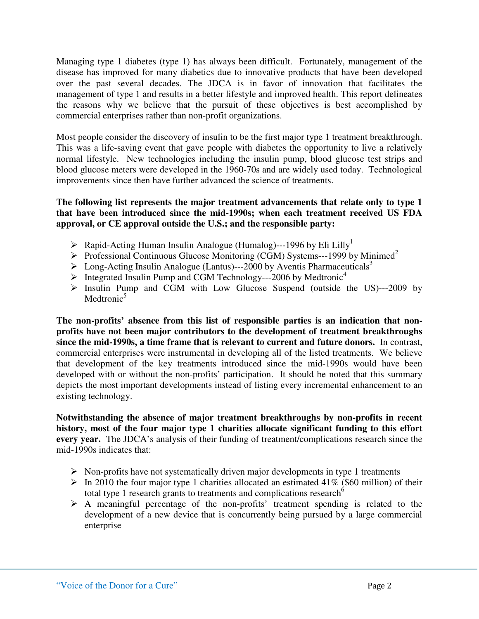Managing type 1 diabetes (type 1) has always been difficult. Fortunately, management of the disease has improved for many diabetics due to innovative products that have been developed over the past several decades. The JDCA is in favor of innovation that facilitates the management of type 1 and results in a better lifestyle and improved health. This report delineates the reasons why we believe that the pursuit of these objectives is best accomplished by commercial enterprises rather than non-profit organizations.

Most people consider the discovery of insulin to be the first major type 1 treatment breakthrough. This was a life-saving event that gave people with diabetes the opportunity to live a relatively normal lifestyle. New technologies including the insulin pump, blood glucose test strips and blood glucose meters were developed in the 1960-70s and are widely used today. Technological improvements since then have further advanced the science of treatments.

#### **The following list represents the major treatment advancements that relate only to type 1 that have been introduced since the mid-1990s; when each treatment received US FDA approval, or CE approval outside the U.S.; and the responsible party:**

- $\triangleright$  Rapid-Acting Human Insulin Analogue (Humalog)---1996 by Eli Lilly<sup>1</sup>
- Professional Continuous Glucose Monitoring (CGM) Systems---1999 by Minimed<sup>2</sup>
- $\triangleright$  Long-Acting Insulin Analogue (Lantus)---2000 by Aventis Pharmaceuticals<sup>3</sup>
- $\triangleright$  Integrated Insulin Pump and CGM Technology---2006 by Medtronic<sup>4</sup>
- $\triangleright$  Insulin Pump and CGM with Low Glucose Suspend (outside the US)---2009 by Medtronic $5$

**The non-profits' absence from this list of responsible parties is an indication that nonprofits have not been major contributors to the development of treatment breakthroughs since the mid-1990s, a time frame that is relevant to current and future donors.** In contrast, commercial enterprises were instrumental in developing all of the listed treatments. We believe that development of the key treatments introduced since the mid-1990s would have been developed with or without the non-profits' participation. It should be noted that this summary depicts the most important developments instead of listing every incremental enhancement to an existing technology.

**Notwithstanding the absence of major treatment breakthroughs by non-profits in recent history, most of the four major type 1 charities allocate significant funding to this effort every year.** The JDCA's analysis of their funding of treatment/complications research since the mid-1990s indicates that:

- $\triangleright$  Non-profits have not systematically driven major developments in type 1 treatments
- $\triangleright$  In 2010 the four major type 1 charities allocated an estimated 41% (\$60 million) of their total type 1 research grants to treatments and complications research<sup>6</sup>
- $\triangleright$  A meaningful percentage of the non-profits' treatment spending is related to the development of a new device that is concurrently being pursued by a large commercial enterprise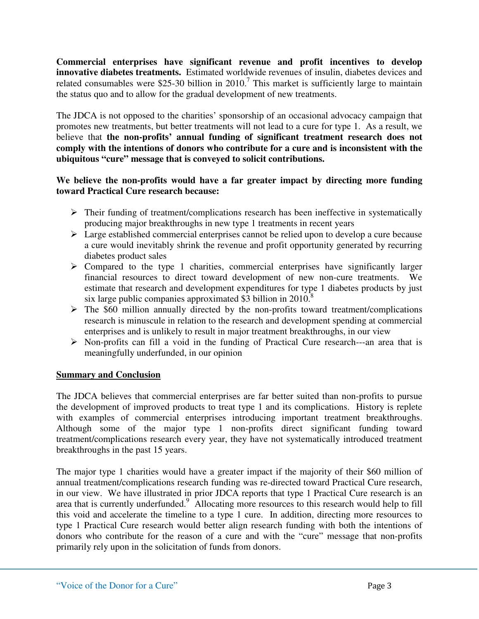**Commercial enterprises have significant revenue and profit incentives to develop innovative diabetes treatments.** Estimated worldwide revenues of insulin, diabetes devices and related consumables were \$25-30 billion in  $2010$ .<sup>7</sup> This market is sufficiently large to maintain the status quo and to allow for the gradual development of new treatments.

The JDCA is not opposed to the charities' sponsorship of an occasional advocacy campaign that promotes new treatments, but better treatments will not lead to a cure for type 1. As a result, we believe that **the non-profits' annual funding of significant treatment research does not comply with the intentions of donors who contribute for a cure and is inconsistent with the ubiquitous "cure" message that is conveyed to solicit contributions.**

#### **We believe the non-profits would have a far greater impact by directing more funding toward Practical Cure research because:**

- $\triangleright$  Their funding of treatment/complications research has been ineffective in systematically producing major breakthroughs in new type 1 treatments in recent years
- $\triangleright$  Large established commercial enterprises cannot be relied upon to develop a cure because a cure would inevitably shrink the revenue and profit opportunity generated by recurring diabetes product sales
- $\triangleright$  Compared to the type 1 charities, commercial enterprises have significantly larger financial resources to direct toward development of new non-cure treatments. We estimate that research and development expenditures for type 1 diabetes products by just six large public companies approximated \$3 billion in 2010.<sup>8</sup>
- $\triangleright$  The \$60 million annually directed by the non-profits toward treatment/complications research is minuscule in relation to the research and development spending at commercial enterprises and is unlikely to result in major treatment breakthroughs, in our view
- $\triangleright$  Non-profits can fill a void in the funding of Practical Cure research---an area that is meaningfully underfunded, in our opinion

#### **Summary and Conclusion**

The JDCA believes that commercial enterprises are far better suited than non-profits to pursue the development of improved products to treat type 1 and its complications. History is replete with examples of commercial enterprises introducing important treatment breakthroughs. Although some of the major type 1 non-profits direct significant funding toward treatment/complications research every year, they have not systematically introduced treatment breakthroughs in the past 15 years.

The major type 1 charities would have a greater impact if the majority of their \$60 million of annual treatment/complications research funding was re-directed toward Practical Cure research, in our view. We have illustrated in prior JDCA reports that type 1 Practical Cure research is an area that is currently underfunded.<sup>9</sup> Allocating more resources to this research would help to fill this void and accelerate the timeline to a type 1 cure. In addition, directing more resources to type 1 Practical Cure research would better align research funding with both the intentions of donors who contribute for the reason of a cure and with the "cure" message that non-profits primarily rely upon in the solicitation of funds from donors.